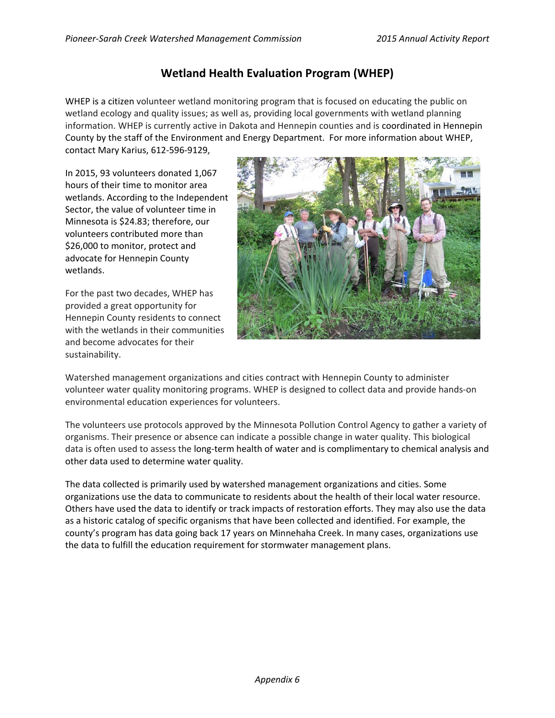# **Wetland Health Evaluation Program (WHEP)**

WHEP is a citizen volunteer wetland monitoring program that is focused on educating the public on wetland ecology and quality issues; as well as, providing local governments with wetland planning information. WHEP is currently active in Dakota and Hennepin counties and is coordinated in Hennepin County by the staff of the Environment and Energy Department. For more information about WHEP, contact Mary Karius, 612‐596‐9129,

In 2015, 93 volunteers donated 1,067 hours of their time to monitor area wetlands. According to the Independent Sector, the value of volunteer time in Minnesota is \$24.83; therefore, our volunteers contributed more than \$26,000 to monitor, protect and advocate for Hennepin County wetlands.

For the past two decades, WHEP has provided a great opportunity for Hennepin County residents to connect with the wetlands in their communities and become advocates for their sustainability.



Watershed management organizations and cities contract with Hennepin County to administer volunteer water quality monitoring programs. WHEP is designed to collect data and provide hands‐on environmental education experiences for volunteers.

The volunteers use protocols approved by the Minnesota Pollution Control Agency to gather a variety of organisms. Their presence or absence can indicate a possible change in water quality. This biological data is often used to assess the long-term health of water and is complimentary to chemical analysis and other data used to determine water quality.

The data collected is primarily used by watershed management organizations and cities. Some organizations use the data to communicate to residents about the health of their local water resource. Others have used the data to identify or track impacts of restoration efforts. They may also use the data as a historic catalog of specific organisms that have been collected and identified. For example, the county's program has data going back 17 years on Minnehaha Creek. In many cases, organizations use the data to fulfill the education requirement for stormwater management plans.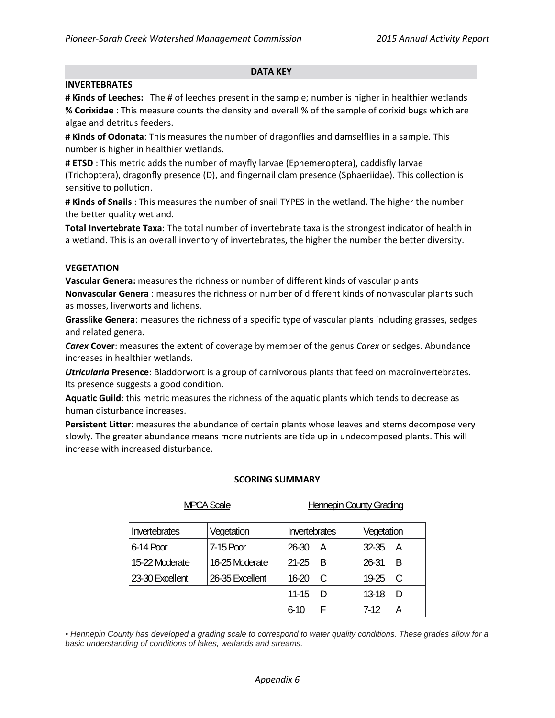### **DATA KEY**

### **INVERTEBRATES**

**# Kinds of Leeches:** The # of leeches present in the sample; number is higher in healthier wetlands **% Corixidae** : This measure counts the density and overall % of the sample of corixid bugs which are algae and detritus feeders.

**# Kinds of Odonata**: This measures the number of dragonflies and damselflies in a sample. This number is higher in healthier wetlands.

**# ETSD** : This metric adds the number of mayfly larvae (Ephemeroptera), caddisfly larvae (Trichoptera), dragonfly presence (D), and fingernail clam presence (Sphaeriidae). This collection is sensitive to pollution.

**# Kinds of Snails** : This measures the number of snail TYPES in the wetland. The higher the number the better quality wetland.

**Total Invertebrate Taxa**: The total number of invertebrate taxa is the strongest indicator of health in a wetland. This is an overall inventory of invertebrates, the higher the number the better diversity.

### **VEGETATION**

**Vascular Genera:** measures the richness or number of different kinds of vascular plants **Nonvascular Genera** : measures the richness or number of different kinds of nonvascular plants such as mosses, liverworts and lichens.

**Grasslike Genera**: measures the richness of a specific type of vascular plants including grasses, sedges and related genera.

*Carex* **Cover**: measures the extent of coverage by member of the genus *Carex* or sedges. Abundance increases in healthier wetlands.

*Utricularia* **Presence**: Bladdorwort is a group of carnivorous plants that feed on macroinvertebrates. Its presence suggests a good condition.

**Aquatic Guild**: this metric measures the richness of the aquatic plants which tends to decrease as human disturbance increases.

**Persistent Litter**: measures the abundance of certain plants whose leaves and stems decompose very slowly. The greater abundance means more nutrients are tide up in undecomposed plants. This will increase with increased disturbance.

#### **SCORING SUMMARY**

MPCA Scale **Hennepin County Grading** 

| Invertebrates   | Vegetation      | Invertebrates |        | Vegetation |   |
|-----------------|-----------------|---------------|--------|------------|---|
| 6-14 Poor       | 7-15 Poor       | $26 - 30$     | А      | $32 - 35$  | А |
| 15-22 Moderate  | 16-25 Moderate  | $21-25$       | -B     | $26 - 31$  | B |
| 23-30 Excellent | 26-35 Excellent | $16 - 20$     |        | 19-25      | C |
|                 |                 | $11 - 15$     | $\Box$ | $13-18$    | D |
|                 |                 | $6 - 10$      |        | 7-12       |   |

*• Hennepin County has developed a grading scale to correspond to water quality conditions. These grades allow for a basic understanding of conditions of lakes, wetlands and streams.*